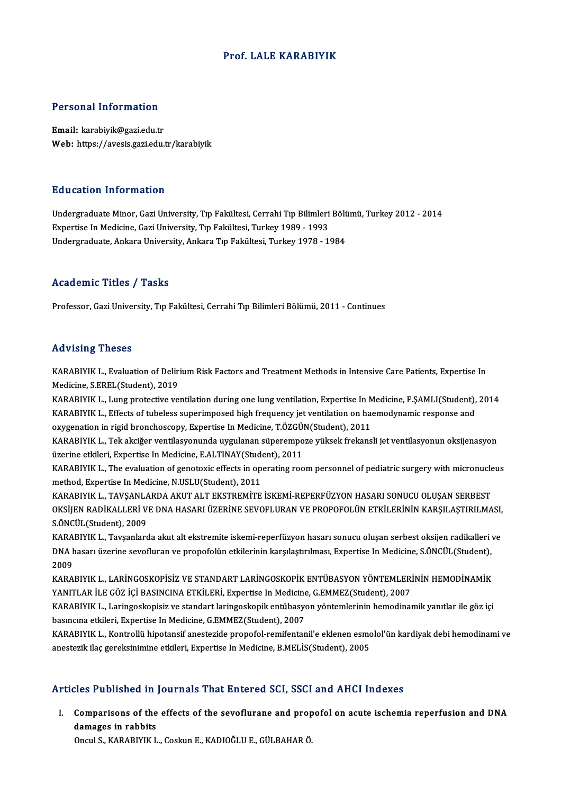#### Prof. LALE KARABIYIK

#### Personal Information

Email: karabiyik@gazi.edu.tr Web: https://avesis.gazi.edu.tr/karabiyik

#### Education Information

Education Information<br>Undergraduate Minor, Gazi University, Tıp Fakültesi, Cerrahi Tıp Bilimleri Bölümü, Turkey 2012 - 2014<br>Expertise In Medisine, Cazi University, Tıp Fakültesi, Turkey 1989, 1993 Eu abatıon Tirror macron<br>Undergraduate Minor, Gazi University, Tıp Fakültesi, Cerrahi Tıp Bilimleri<br>Expertise In Medicine, Gazi University, Ankara Tın Fakültesi, Turkey 1989 - 1993<br>Undergraduate Ankara University, Ankara T Expertise In Medicine, Gazi University, Tıp Fakültesi, Turkey 1989 - 1993<br>Undergraduate, Ankara University, Ankara Tıp Fakültesi, Turkey 1978 - 1984

#### Academic Titles / Tasks

Professor, Gazi University, Tıp Fakültesi, Cerrahi Tıp Bilimleri Bölümü, 2011 - Continues

#### Advising Theses

Advising Theses<br>KARABIYIK L., Evaluation of Delirium Risk Factors and Treatment Methods in Intensive Care Patients, Expertise In<br>Medisine S.EREL(Student), 2019 Medicine, S.EREL(Student), 2019 KARABIYIK L., Evaluation of Delirium Risk Factors and Treatment Methods in Intensive Care Patients, Expertise In<br>Medicine, S.EREL(Student), 2019<br>KARABIYIK L., Lung protective ventilation during one lung ventilation, Expert

KARABIYIK L., Lung protective ventilation during one lung ventilation, Expertise In Medicine, F.ŞAMLI(Student), 2014<br>KARABIYIK L., Effects of tubeless superimposed high frequency jet ventilation on haemodynamic response an KARABIYIK L., Lung protective ventilation during one lung ventilation, Expertise In M<br>KARABIYIK L., Effects of tubeless superimposed high frequency jet ventilation on had<br>oxygenation in rigid bronchoscopy, Expertise In Med

KARABIYIK L., Tek akciğer ventilasyonunda uygulanan süperempoze yüksek frekansli jet ventilasyonun oksijenasyon<br>üzerine etkileri, Expertise In Medicine, E.ALTINAY(Student), 2011 oxygenation in rigid bronchoscopy, Expertise In Medicine, T.ÖZGÜ!<br>KARABIYIK L., Tek akciğer ventilasyonunda uygulanan süperempo<br>üzerine etkileri, Expertise In Medicine, E.ALTINAY(Student), 2011<br>KARABIYIK L., The evoluation KARABIYIK L., Tek akciğer ventilasyonunda uygulanan süperempoze yüksek frekansli jet ventilasyonun oksijenasyon<br>üzerine etkileri, Expertise In Medicine, E.ALTINAY(Student), 2011<br>KARABIYIK L., The evaluation of genotoxic ef

üzerine etkileri, Expertise In Medicine, E.ALTINAY(Student)<br>KARABIYIK L., The evaluation of genotoxic effects in opmethod, Expertise In Medicine, N.USLU(Student), 2011<br>KARABIYIK L., TAVSANI ARDA AKUT ALT EKSTREMITE KARABIYIK L., The evaluation of genotoxic effects in operating room personnel of pediatric surgery with micronucle<br>method, Expertise In Medicine, N.USLU(Student), 2011<br>KARABIYIK L., TAVŞANLARDA AKUT ALT EKSTREMİTE İSKEMİ-R

method, Expertise In Medicine, N.USLU(Student), 2011<br>KARABIYIK L., TAVŞANLARDA AKUT ALT EKSTREMİTE İSKEMİ-REPERFÜZYON HASARI SONUCU OLUŞAN SERBEST<br>OKSİJEN RADİKALLERİ VE DNA HASARI ÜZERİNE SEVOFLURAN VE PROPOFOLÜN ETKİLERİ KARABIYIK L., TAVŞANLA<br>OKSİJEN RADİKALLERİ V<br>S.ÖNCÜL(Student), 2009<br>KARABIYIK L., Tavçanlar OKSİJEN RADİKALLERİ VE DNA HASARI ÜZERİNE SEVOFLURAN VE PROPOFOLÜN ETKİLERİNİN KARŞILAŞTIRILMASI,<br>S.ÖNCÜL(Student), 2009<br>KARABIYIK L., Tavşanlarda akut alt ekstremite iskemi-reperfüzyon hasarı sonucu oluşan serbest oksijen

S.ÖNCÜL(Student), 2009<br>KARABIYIK L., Tavşanlarda akut alt ekstremite iskemi-reperfüzyon hasarı sonucu oluşan serbest oksijen radikalleri<br>DNA hasarı üzerine sevofluran ve propofolün etkilerinin karşılaştırılması, Expertise KARA<br>DNA F<br>2009<br>KARA DNA hasarı üzerine sevofluran ve propofolün etkilerinin karşılaştırılması, Expertise In Medicine, S.ÖNCÜL(Student),<br>2009<br>KARABIYIK L., LARİNGOSKOPİSİZ VE STANDART LARİNGOSKOPİK ENTÜBASYON YÖNTEMLERİNİN HEMODİNAMİK<br>YANITI A

2009<br>KARABIYIK L., LARİNGOSKOPİSİZ VE STANDART LARİNGOSKOPİK ENTÜBASYON YÖNTEMLERİNİN HEMODİNAMİK<br>YANITLAR İLE GÖZ İÇİ BASINCINA ETKİLERİ, Expertise In Medicine, G.EMMEZ(Student), 2007

KARABIYIK L., Laringoskopisiz ve standart laringoskopik entübasyon yöntemlerinin hemodinamik yanıtlar ile göz içi basıncına etkileri, Expertise In Medicine, G.EMMEZ(Student), 2007 KARABIYIK L., Laringoskopisiz ve standart laringoskopik entübasyon yöntemlerinin hemodinamik yanıtlar ile göz içi<br>basıncına etkileri, Expertise In Medicine, G.EMMEZ(Student), 2007<br>KARABIYIK L., Kontrollü hipotansif anestez

basıncına etkileri, Expertise In Medicine, G.EMMEZ(Student), 2007<br>KARABIYIK L., Kontrollü hipotansif anestezide propofol-remifentanil'e eklenen esmc<br>anestezik ilaç gereksinimine etkileri, Expertise In Medicine, B.MELİS(Stu

# anestezik ilaç gereksinimine etkileri, Expertise In Medicine, B.MELİS(Student), 2005<br>Articles Published in Journals That Entered SCI, SSCI and AHCI Indexes

rticles Published in Journals That Entered SCI, SSCI and AHCI Indexes<br>I. Comparisons of the effects of the sevoflurane and propofol on acute ischemia reperfusion and DNA<br>damages in rabbits decedent in the control of the<br>Comparisons of the<br>Chaul S. KARABIVIV I Comparisons of the effects of the sevoflurane and prop<br>damages in rabbits<br>Oncul S., KARABIYIK L., Coskun E., KADIOĞLU E., GÜLBAHAR Ö.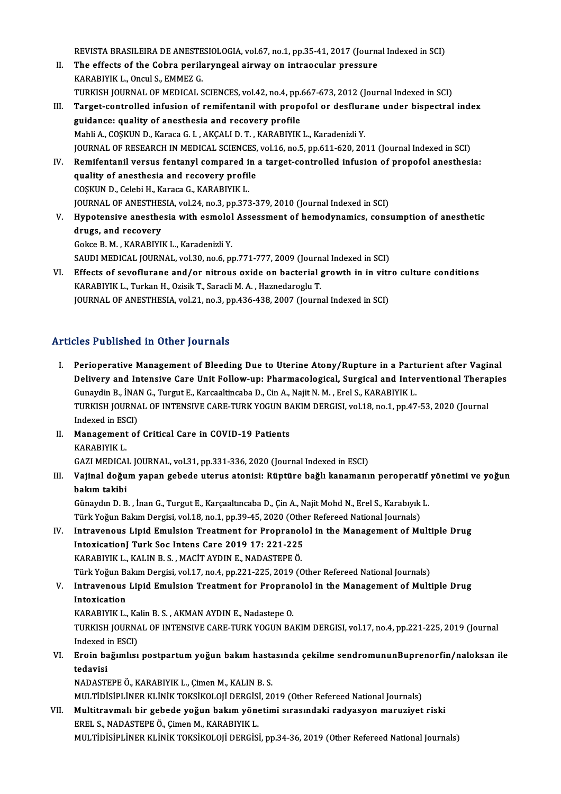REVISTA BRASILEIRA DE ANESTESIOLOGIA, vol.67, no.1, pp.35-41, 2017 (Journal Indexed in SCI)<br>The effects of the Cohre porilaryngeal einvey on intreasular pressure

- REVISTA BRASILEIRA DE ANESTESIOLOGIA, vol.67, no.1, pp.35-41, 2017 (Journa<br>II. The effects of the Cobra perilaryngeal airway on intraocular pressure<br>KARABIVIK L. Opgyl S. FMMEZ C. REVISTA BRASILEIRA DE ANESTE<br>The effects of the Cobra perile<br>KARABIYIK L., Oncul S., EMMEZ G.<br>TURKEH JOURNAL OF MEDICALS The effects of the Cobra perilaryngeal airway on intraocular pressure<br>KARABIYIK L., Oncul S., EMMEZ G.<br>TURKISH JOURNAL OF MEDICAL SCIENCES, vol.42, no.4, pp.667-673, 2012 (Journal Indexed in SCI)<br>Tenget sentrelled infusion
- KARABIYIK L., Oncul S., EMMEZ G.<br>TURKISH JOURNAL OF MEDICAL SCIENCES, vol.42, no.4, pp.667-673, 2012 (Journal Indexed in SCI)<br>III. Target-controlled infusion of remifentanil with propofol or desflurane under bispectral ind TURKISH JOURNAL OF MEDICAL SCIENCES, vol.42, no.4, pp.<br>Target-controlled infusion of remifentanil with prope<br>guidance: quality of anesthesia and recovery profile<br>Mabli A. COSKUN D. Karaca C. L. AKCALLD T. KARAPIVIK Mahli A., COŞKUN D., Karaca G. I. , AKÇALI D. T. , KARABIYIK L., Karadenizli Y. JOURNAL OF RESEARCH IN MEDICAL SCIENCES, vol.16, no.5, pp.611-620, 2011 (Journal Indexed in SCI) Mahli A., COŞKUN D., Karaca G. I. , AKÇALI D. T. , KARABIYIK L., Karadenizli Y.<br>JOURNAL OF RESEARCH IN MEDICAL SCIENCES, vol.16, no.5, pp.611-620, 2011 (Journal Indexed in SCI)<br>IV. Remifentanil versus fentanyl compared in
- JOURNAL OF RESEARCH IN MEDICAL SCIENCES,<br>Remifentanil versus fentanyl compared in<br>quality of anesthesia and recovery profile<br>COSKUN D. Colobi H. Karasa C. KABABIVIK I Remifentanil versus fentanyl compared is<br>quality of anesthesia and recovery profil<br>COȘKUN D., Celebi H., Karaca G., KARABIYIK L.<br>JOUPMAL OE ANESTHESIA vol 24 no 2 nn 272 quality of anesthesia and recovery profile<br>COŞKUN D., Celebi H., Karaca G., KARABIYIK L.<br>JOURNAL OF ANESTHESIA, vol.24, no.3, pp.373-379, 2010 (Journal Indexed in SCI)
- V. Hypotensive anesthesia with esmolol Assessment of hemodynamics, consumption of anesthetic drugs, and recovery GokceB.M. ,KARABIYIKL.,KaradenizliY. SAUDI MEDICAL JOURNAL, vol.30, no.6, pp.771-777, 2009 (Journal Indexed in SCI) Gokce B. M. , KARABIYIK L., Karadenizli Y.<br>SAUDI MEDICAL JOURNAL, vol.30, no.6, pp.771-777, 2009 (Journal Indexed in SCI)<br>VI. Effects of sevoflurane and/or nitrous oxide on bacterial growth in in vitro culture conditions<br>K
- SAUDI MEDICAL JOURNAL, vol.30, no.6, pp.771-777, 2009 (Journ<br>Effects of sevoflurane and/or nitrous oxide on bacterial <sub>{</sub><br>KARABIYIK L., Turkan H., Ozisik T., Saracli M. A. , Haznedaroglu T.<br>JOUPNAL OF ANESTHESIA, vol.21, n Effects of sevoflurane and/or nitrous oxide on bacterial growth in in vitr<br>KARABIYIK L., Turkan H., Ozisik T., Saracli M. A. , Haznedaroglu T.<br>JOURNAL OF ANESTHESIA, vol.21, no.3, pp.436-438, 2007 (Journal Indexed in SCI) JOURNAL OF ANESTHESIA, vol.21, no.3, pp.436-438, 2007 (Journal Indexed in SCI)<br>Articles Published in Other Journals

- rticles Published in Other Journals<br>I. Perioperative Management of Bleeding Due to Uterine Atony/Rupture in a Parturient after Vaginal<br>Delivery and Intensive Care Unit Follow up: Pharmasological Surgical and Interventional Perioperative Management of Bleeding Due to Uterine Atony/Rupture in a Parturient after Vaginal<br>Delivery and Intensive Care Unit Follow-up: Pharmacological, Surgical and Interventional Therapies<br>Cunavdin B. INAN C. Turgut Perioperative Management of Bleeding Due to Uterine Atony/Rupture in a Part<br>Delivery and Intensive Care Unit Follow-up: Pharmacological, Surgical and Inter<br>Gunaydin B., İNAN G., Turgut E., Karcaaltincaba D., Cin A., Najit Delivery and Intensive Care Unit Follow-up: Pharmacological, Surgical and Interventional Thera<br>Gunaydin B., İNAN G., Turgut E., Karcaaltincaba D., Cin A., Najit N. M. , Erel S., KARABIYIK L.<br>TURKISH JOURNAL OF INTENSIVE CA Gunaydin B., İNA<br>TURKISH JOURNA<br>Indexed in ESCI)<br>Manasamant of TURKISH JOURNAL OF INTENSIVE CARE-TURK YOGUN B.<br>Indexed in ESCI)<br>II. Management of Critical Care in COVID-19 Patients<br>KARABIVIK I
- Indexed in ESCI)<br>II. Management of Critical Care in COVID-19 Patients<br>KARABIYIK L. Management of Critical Care in COVID-19 Patients<br>KARABIYIK L.<br>GAZI MEDICAL JOURNAL, vol.31, pp.331-336, 2020 (Journal Indexed in ESCI)<br>Volinal doğum vanan sabade utanya atanısı: Büntüne boğlukanamanı

KARABIYIK L.<br>GAZI MEDICAL JOURNAL, vol.31, pp.331-336, 2020 (Journal Indexed in ESCI)<br>III. Vajinal doğum yapan gebede uterus atonisi: Rüptüre bağlı kanamanın peroperatif yönetimi ve yoğun<br>hakım takibi GAZI MEDICA<br>Vajinal doğu<br>bakım takibi<br>Günaydu D. B Vajinal doğum yapan gebede uterus atonisi: Rüptüre bağlı kanamanın peroperatif<br>bakım takibi<br>Günaydın D. B. , İnan G., Turgut E., Karçaaltıncaba D., Çin A., Najit Mohd N., Erel S., Karabıyık L.<br>Türk Voğun Bakım Dargisi val

bakım takibi<br>Günaydın D. B. , İnan G., Turgut E., Karçaaltıncaba D., Çin A., Najit Mohd N., Erel S., Karabıyık<br>Türk Yoğun Bakım Dergisi, vol.18, no.1, pp.39-45, 2020 (Other Refereed National Journals)<br>Intravonous Linid Emu Günaydın D. B. , İnan G., Turgut E., Karçaaltıncaba D., Çin A., Najit Mohd N., Erel S., Karabıyık L.<br>Türk Yoğun Bakım Dergisi, vol.18, no.1, pp.39-45, 2020 (Other Refereed National Journals)<br>IV. Intravenous Lipid Emulsion

Türk Yoğun Bakım Dergisi, vol.18, no.1, pp.39-45, 2020 (Othe<br>Intravenous Lipid Emulsion Treatment for Propranol<br>IntoxicationJ Turk Soc Intens Care 2019 17: 221-225<br>KARARIVIK L. KALIN R.S., MACİT AVDIN E. NADASTEREÖ Intravenous Lipid Emulsion Treatment for Propranol<br>IntoxicationJ Turk Soc Intens Care 2019 17: 221-225<br>KARABIYIK L., KALIN B. S. , MACİT AYDIN E., NADASTEPE Ö.<br>Türk Yoğun Bakım Dergisi vel17 na 4 nn 221 225 2019 (C IntoxicationJ Turk Soc Intens Care 2019 17: 221-225<br>KARABIYIK L., KALIN B. S. , MACİT AYDIN E., NADASTEPE Ö.<br>Türk Yoğun Bakım Dergisi, vol.17, no.4, pp.221-225, 2019 (Other Refereed National Journals)<br>Intravenous Linid Emu KARABIYIK L., KALIN B. S. , MACİT AYDIN E., NADASTEPE Ö.<br>Türk Yoğun Bakım Dergisi, vol.17, no.4, pp.221-225, 2019 (Other Refereed National Journals)<br>V. Intravenous Lipid Emulsion Treatment for Propranolol in the Manage

# Türk Yoğun Ba<br>I<mark>ntravenous</mark><br>Intoxication<br>KARARIVIK I

Intravenous Lipid Emulsion Treatment for Propran<br>Intoxication<br>KARABIYIK L., Kalin B. S. , AKMAN AYDIN E., Nadastepe O.<br>TURKISH JOURNAL OF INTENSIVE CARE TURK YOCUN RA Intoxication<br>KARABIYIK L., Kalin B. S. , AKMAN AYDIN E., Nadastepe O.<br>TURKISH JOURNAL OF INTENSIVE CARE-TURK YOGUN BAKIM DERGISI, vol.17, no.4, pp.221-225, 2019 (Journal KARABIYIK L., Ka<br>TURKISH JOURNA<br>Indexed in ESCI)<br>Enain hažumlua TURKISH JOURNAL OF INTENSIVE CARE-TURK YOGUN BAKIM DERGISI, vol.17, no.4, pp.221-225, 2019 (Journal Indexed in ESCI)<br>VI. Eroin bağımlısı postpartum yoğun bakım hastasında çekilme sendromununBuprenorfin/naloksan ile<br>tedevis

Indexed<br>**Eroin ba<br>tedavisi**<br>NADASTI Eroin bağımlısı postpartum yoğun bakım hasta<br>tedavisi<br>NADASTEPE Ö., KARABIYIK L., Çimen M., KALIN B. S.<br>MULTIDISIDI İNER KLİNİK TOKSİKOLOJI DERÇİSİ, 20 tedavisi<br>NADASTEPE Ö., KARABIYIK L., Çimen M., KALIN B. S.<br>MULTİDİSİPLİNER KLİNİK TOKSİKOLOJİ DERGİSİ, 2019 (Other Refereed National Journals)<br>Multitrovmalı bir gebede veğun bakım yönetimi surasındaki redvasyon manusiyet

NADASTEPE Ö., KARABIYIK L., Çimen M., KALIN B. S.<br>MULTİDİSİPLİNER KLİNİK TOKSİKOLOJİ DERGİSİ, 2019 (Other Refereed National Journals)<br>VII. Multitravmalı bir gebede yoğun bakım yönetimi sırasındaki radyasyon maruziyet riski MULTİDİSİPLİNER KLİNİK TOKSİKOLOJİ DERGİSİ<br>Multitravmalı bir gebede yoğun bakım yöne<br>EREL S., NADASTEPE Ö., Çimen M., KARABIYIK L.<br>MIJI TİDİSİDI İNED KLİNİK TOKSİKOLOJİ DERÇİSİ MULTİDİSİPLİNER KLİNİK TOKSİKOLOJİ DERGİSİ, pp.34-36, 2019 (Other Refereed National Journals)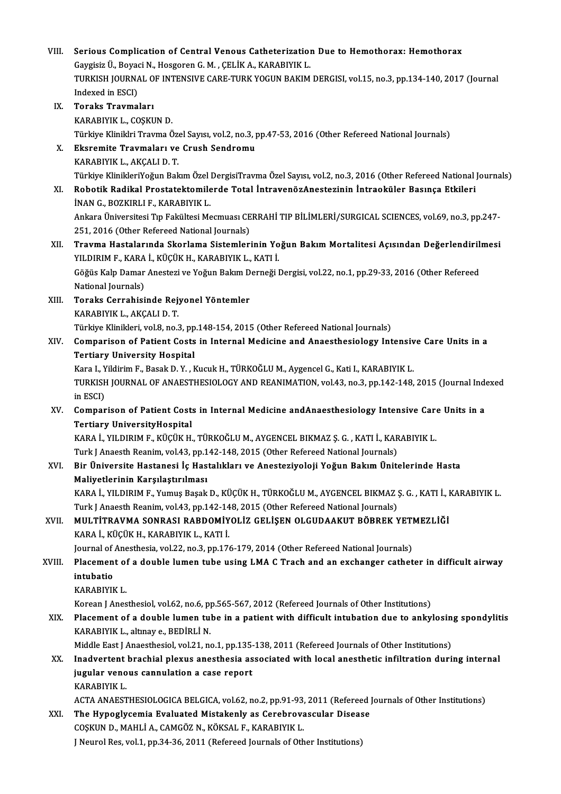| VIII.  | Serious Complication of Central Venous Catheterization Due to Hemothorax: Hemothorax                                                                                  |
|--------|-----------------------------------------------------------------------------------------------------------------------------------------------------------------------|
|        | Gaygisiz Ü., Boyaci N., Hosgoren G. M., ÇELİK A., KARABIYIK L.<br>TURKISH JOURNAL OF INTENSIVE CARE-TURK YOGUN BAKIM DERGISI, vol.15, no.3, pp.134-140, 2017 (Journal |
|        | Indexed in ESCI)                                                                                                                                                      |
| IX.    | <b>Toraks Travmaları</b>                                                                                                                                              |
|        | KARABIYIK L., COŞKUN D.                                                                                                                                               |
|        | Türkiye Kliniklri Travma Özel Sayısı, vol.2, no.3, pp.47-53, 2016 (Other Refereed National Journals)                                                                  |
| Х.     | Eksremite Travmaları ve Crush Sendromu                                                                                                                                |
|        | KARABIYIK L., AKÇALI D. T.                                                                                                                                            |
|        | Türkiye KlinikleriYoğun Bakım Özel DergisiTravma Özel Sayısı, vol.2, no.3, 2016 (Other Refereed National Journals)                                                    |
| XI.    | Robotik Radikal Prostatektomilerde Total İntravenözAnestezinin İntraoküler Basınça Etkileri                                                                           |
|        | İNAN G., BOZKIRLI F., KARABIYIK L.                                                                                                                                    |
|        | Ankara Üniversitesi Tıp Fakültesi Mecmuası CERRAHİ TIP BİLİMLERİ/SURGICAL SCIENCES, vol.69, no.3, pp.247-                                                             |
|        | 251, 2016 (Other Refereed National Journals)                                                                                                                          |
| XII.   | Travma Hastalarında Skorlama Sistemlerinin Yoğun Bakım Mortalitesi Açısından Değerlendirilmesi                                                                        |
|        | YILDIRIM F., KARA İ., KÜÇÜK H., KARABIYIK L., KATI İ.                                                                                                                 |
|        | Göğüs Kalp Damar Anestezi ve Yoğun Bakım Derneği Dergisi, vol.22, no.1, pp.29-33, 2016 (Other Refereed                                                                |
|        | National Journals)                                                                                                                                                    |
| XIII.  | Toraks Cerrahisinde Rejyonel Yöntemler                                                                                                                                |
|        | KARABIYIK L., AKÇALI D. T.                                                                                                                                            |
|        | Türkiye Klinikleri, vol.8, no.3, pp.148-154, 2015 (Other Refereed National Journals)                                                                                  |
| XIV.   | Comparison of Patient Costs in Internal Medicine and Anaesthesiology Intensive Care Units in a                                                                        |
|        | <b>Tertiary University Hospital</b>                                                                                                                                   |
|        | Kara I., Yildirim F., Basak D. Y., Kucuk H., TÜRKOĞLU M., Aygencel G., Kati I., KARABIYIK L.                                                                          |
|        | TURKISH JOURNAL OF ANAESTHESIOLOGY AND REANIMATION, vol.43, no.3, pp.142-148, 2015 (Journal Indexed                                                                   |
|        | in ESCI)                                                                                                                                                              |
| XV.    | Comparison of Patient Costs in Internal Medicine and Anaesthesiology Intensive Care Units in a                                                                        |
|        | <b>Tertiary UniversityHospital</b>                                                                                                                                    |
|        | KARA İ., YILDIRIM F., KÜÇÜK H., TÜRKOĞLU M., AYGENCEL BIKMAZ Ş. G., KATI İ., KARABIYIK L.                                                                             |
|        | Turk J Anaesth Reanim, vol.43, pp.142-148, 2015 (Other Refereed National Journals)                                                                                    |
| XVI.   | Bir Üniversite Hastanesi İç Hastalıkları ve Anesteziyoloji Yoğun Bakım Ünitelerinde Hasta                                                                             |
|        | Maliyetlerinin Karşılaştırılması                                                                                                                                      |
|        | KARA İ., YILDIRIM F., Yumuş Başak D., KÜÇÜK H., TÜRKOĞLU M., AYGENCEL BIKMAZ Ş. G. , KATI İ., KARABIYIK L.                                                            |
|        | Turk J Anaesth Reanim, vol.43, pp.142-148, 2015 (Other Refereed National Journals)                                                                                    |
| XVII.  | MULTITRAVMA SONRASI RABDOMIYOLIZ GELIŞEN OLGUDAAKUT BÖBREK YETMEZLIĞI                                                                                                 |
|        | KARA İ., KÜÇÜK H., KARABIYIK L., KATI İ.                                                                                                                              |
|        | Journal of Anesthesia, vol.22, no.3, pp.176-179, 2014 (Other Refereed National Journals)                                                                              |
| XVIII. | Placement of a double lumen tube using LMA C Trach and an exchanger catheter in difficult airway                                                                      |
|        | intubatio                                                                                                                                                             |
|        | KARABIYIK L                                                                                                                                                           |
|        | Korean J Anesthesiol, vol.62, no.6, pp.565-567, 2012 (Refereed Journals of Other Institutions)                                                                        |
| XIX.   | Placement of a double lumen tube in a patient with difficult intubation due to ankylosing spondylitis                                                                 |
|        | KARABIYIK L., altınay e., BEDİRLİ N.                                                                                                                                  |
|        | Middle East J Anaesthesiol, vol.21, no.1, pp.135-138, 2011 (Refereed Journals of Other Institutions)                                                                  |
| XX.    | Inadvertent brachial plexus anesthesia associated with local anesthetic infiltration during internal                                                                  |
|        | jugular venous cannulation a case report                                                                                                                              |
|        | KARABIYIK L                                                                                                                                                           |
|        | ACTA ANAESTHESIOLOGICA BELGICA, vol.62, no.2, pp.91-93, 2011 (Refereed Journals of Other Institutions)                                                                |
| XXI.   | The Hypoglycemia Evaluated Mistakenly as Cerebrovascular Disease                                                                                                      |
|        | COŞKUN D., MAHLİ A., CAMGÖZ N., KÖKSAL F., KARABIYIK L.                                                                                                               |
|        | J Neurol Res, vol.1, pp.34-36, 2011 (Refereed Journals of Other Institutions)                                                                                         |
|        |                                                                                                                                                                       |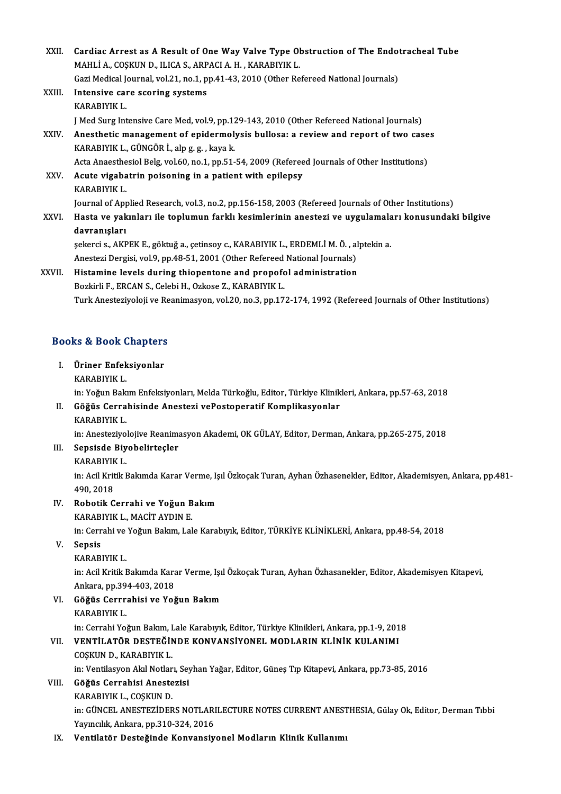| XXII.       | Cardiac Arrest as A Result of One Way Valve Type Obstruction of The Endotracheal Tube<br>MAHLİ A., COŞKUN D., ILICA S., ARPACI A. H., KARABIYIK L. |
|-------------|----------------------------------------------------------------------------------------------------------------------------------------------------|
| XXIII.      | Gazi Medical Journal, vol.21, no.1, pp.41-43, 2010 (Other Refereed National Journals)                                                              |
|             | Intensive care scoring systems<br>KARABIYIK L.                                                                                                     |
|             | J Med Surg Intensive Care Med, vol.9, pp.129-143, 2010 (Other Refereed National Journals)                                                          |
| XXIV.       | Anesthetic management of epidermolysis bullosa: a review and report of two cases<br>KARABIYIK L., GÜNGÖR İ., alp g. g., kaya k.                    |
|             | Acta Anaesthesiol Belg, vol.60, no.1, pp.51-54, 2009 (Refereed Journals of Other Institutions)                                                     |
| XXV.        | Acute vigabatrin poisoning in a patient with epilepsy                                                                                              |
|             | KARABIYIK L                                                                                                                                        |
|             | Journal of Applied Research, vol.3, no.2, pp.156-158, 2003 (Refereed Journals of Other Institutions)                                               |
| <b>XXVI</b> | Hasta ve yakınları ile toplumun farklı kesimlerinin anestezi ve uygulamaları konusundaki bilgive                                                   |
|             | davranışları                                                                                                                                       |
|             | şekerci s., AKPEK E., göktuğ a., çetinsoy c., KARABIYIK L., ERDEMLİ M. Ö., alptekin a.                                                             |
|             | Anestezi Dergisi, vol.9, pp.48-51, 2001 (Other Refereed National Journals)                                                                         |
| XXVII.      | Histamine levels during thiopentone and propofol administration                                                                                    |
|             | Bozkirli F., ERCAN S., Celebi H., Ozkose Z., KARABIYIK L.                                                                                          |
|             | Turk Anesteziyoloji ve Reanimasyon, vol.20, no.3, pp.172-174, 1992 (Refereed Journals of Other Institutions)                                       |
|             |                                                                                                                                                    |
|             | <b>Books &amp; Book Chapters</b>                                                                                                                   |

# OOks & Book Chapters<br>I. Üriner Enfeksiyonlar<br>KARARIVIK I

I. Üriner Enfeksiyonlar<br>KARABIYIK L.

in: Yoğun Bakım Enfeksiyonları, Melda Türkoğlu, Editor, Türkiye Klinikleri, Ankara, pp.57-63, 2018

# KARABIYIK L.<br>in: Yoğun Bakım Enfeksiyonları, Melda Türkoğlu, Editor, Türkiye Klinik<br>II. Göğüs Cerrahisinde Anestezi vePostoperatif Komplikasyonlar<br>KARABIYIK I in: Yoğun Bakı<br><mark>Göğüs Cerra</mark><br>KARABIYIK L.<br>in: Anesteriye.

KARABIYIK L.<br>in: Anesteziyolojive Reanimasyon Akademi, OK GÜLAY, Editor, Derman, Ankara, pp.265-275, 2018

- KARABIYIK L.<br>in: Anesteziyolojive Reanima<br>III. Sepsisde Biyobelirteçler<br>KARABIYIK L in: Anesteziyo<br>Sepsisde Biy<br>KARABIYIK L.<br>in: Agil Kritik L
	-

KARABIYIK L.<br>in: Acil Kritik Bakımda Karar Verme, Işıl Özkoçak Turan, Ayhan Özhasenekler, Editor, Akademisyen, Ankara, pp.481-490,2018 In: Acil Kritik Bakımda Karar Verme, Iş<br>490, 2018<br>IV. Robotik Cerrahi ve Yoğun Bakım<br>KARAPIVIK LAMAÇİT AYDINE 490, 2018<br>Robotik Cerrahi ve Yoğun B<br>KARABIYIK L., MACİT AYDIN E.<br>in: Cerrahi ve Yoğun Balum Lal

Robotik Cerrahi ve Yoğun Bakım<br>KARABIYIK L., MACİT AYDIN E.<br>in: Cerrahi ve Yoğun Bakım, Lale Karabıyık, Editor, TÜRKİYE KLİNİKLERİ, Ankara, pp.48-54, 2018<br>Sensis KARABIYIK L., MACİT AYDIN E.<br>in: Cerrahi ve Yoğun Bakım, Lal<br>V. Sepsis<br>KARABIYIK L. in: Cerrahi ve<br><mark>Sepsis</mark><br>KARABIYIK L.<br>in: Acil Kritik I

Sepsis<br>KARABIYIK L.<br>in: Acil Kritik Bakımda Karar Verme, Işıl Özkoçak Turan, Ayhan Özhasanekler, Editor, Akademisyen Kitapevi,<br>Ankara, pp.294,402,2019 KARABIYIK L.<br>in: Acil Kritik Bakımda Kara<br>Ankara, pp.394-403, 2018<br>Cöğüs Corrrebisi ve Yoğ in: Acil Kritik Bakımda Karar Verme, Işı<br>Ankara, pp.394-403, 2018<br>VI. Göğüs Cerrrahisi ve Yoğun Bakım<br>KARAPIYIK I

# Ankara, pp.394-403, 2018<br>VI. Göğüs Cerrrahisi ve Yoğun Bakım<br>KARABIYIK L.

in: Cerrahi Yoğun Bakım, Lale Karabıyık, Editor, Türkiye Klinikleri, Ankara, pp.1-9, 2018

# VI . VENTİLATÖR DESTEĞİNDE KONVANSİYONEL MODLARIN KLİNİK KULANIMI in: Cerrahi Yoğun Bakım, I<br>**VENTİLATÖR DESTEĞİN**<br>COŞKUN D., KARABIYIK L.<br>in: Ventilesyon Alpl Netler

COŞKUN D., KARABIYIK L.<br>in: Ventilasyon Akıl Notları, Seyhan Yağar, Editor, Güneş Tıp Kitapevi, Ankara, pp.73-85, 2016

### VIII. Göğüs Cerrahisi Anestezisi

KARABIYIKL.,COŞKUND.

Göğüs Cerrahisi Anestezisi<br>KARABIYIK L., COŞKUN D.<br>in: GÜNCEL ANESTEZİDERS NOTLARILECTURE NOTES CURRENT ANESTHESIA, Gülay Ok, Editor, Derman Tıbbi<br>Yaungılık Ankara, pp.310,334,2016 KARABIYIK L., COŞKUN D.<br>in: GÜNCEL ANESTEZİDERS NOTLARI<br>Yayıncılık, Ankara, pp.310-324, 2016<br>Vantilatêr Destežinde Kanyansıy

## Yayıncılık, Ankara, pp.310-324, 2016<br>IX. Ventilatör Desteğinde Konvansiyonel Modların Klinik Kullanımı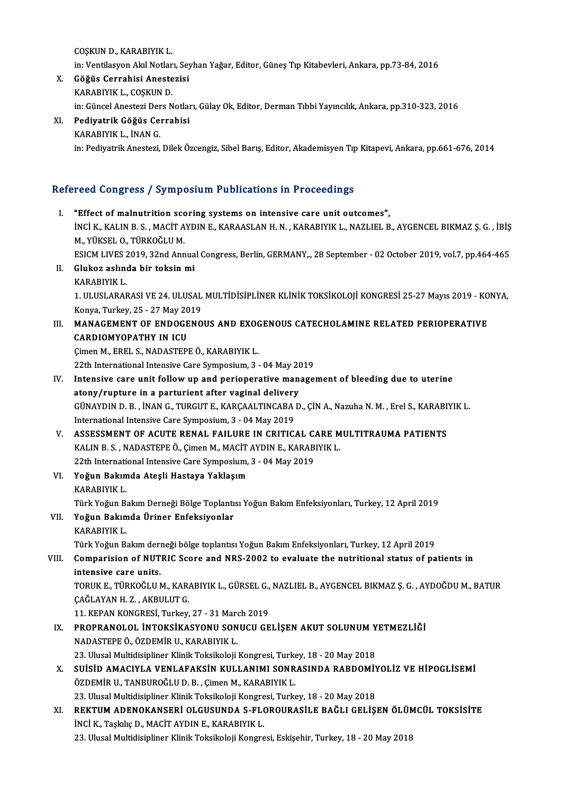COŞKUND.,KARABIYIKL. COŞKUN D., KARABIYIK L.<br>in: Ventilasyon Akıl Notları, Seyhan Yağar, Editor, Güneş Tıp Kitabevleri, Ankara, pp.73-84, 2016<br>Göğüs Corrabisi Anesterisi

- X. Göğüs Cerrahisi Anestezisi in: Ventilasyon Akıl Notlar<br>Göğüs Cerrahisi Aneste<br>KARABIYIK L., COŞKUN D.<br>in: Günaal Anastari Dara N in:GüncelAnesteziDersNotları,GülayOk,Editor,DermanTıbbiYayıncılık,Ankara,pp.310-323,2016
- XI. Pediyatrik Göğüs Cerrahisi KARABIYIKL., İNANG. in: Pediyatrik Anestezi, Dilek Özcengiz, Sibel Barış, Editor, Akademisyen Tıp Kitapevi, Ankara, pp.661-676, 2014

# m: Peulyalrik Aneslezi, Dilek Ozcengiz, Sibel Baris, Edilor, Akademisyen Tip<br>Refereed Congress / Symposium Publications in Proceedings

- Effereed Congress / Symposium Publications in Proceedings<br>I. "Effect of malnutrition scoring systems on intensive care unit outcomes",<br>INCLY KALINES, MACITANDINE KARAASLANH N. KARAEIVIKL, NAZURU P TOOR OONGLOOD JI OJ INPODIRIM TRISHORISMIS IN TYOCOORING.<br>"Effect of malnutrition scoring systems on intensive care unit outcomes",<br>INCİ K., KALIN B. S. , MACİT AYDIN E., KARAASLAN H. N. , KARABIYIK L., NAZLIEL B., AYGENCE "Effect of malnutrition scondiction<br>INCI K., KALIN B. S. , MACIT A<br>M., YÜKSEL O., TÜRKOĞLU M.<br>ESICM LIVES 2019, 22nd Ann İNCİ K., KALIN B. S. , MACİT AYDIN E., KARAASLAN H. N. , KARABIYIK L., NAZLIEL B., AYGENCEL BIKMAZ Ş. G. , İBİŞ<br>M., YÜKSEL O., TÜRKOĞLU M.<br>ESICM LIVES 2019, 32nd Annual Congress, Berlin, GERMANY,., 28 September - 02 Octobe M., YÜKSEL O., TÜRKOĞLU M.<br>ESICM LIVES 2019, 32nd Annua<br>II. Glukoz aslında bir toksin mi<br>KARABIYIK L. ESICM LIVES 2019, 32nd Annual Congress, Berlin, GERMANY, 28 September - 02 October 2019, vol.7, pp.464-465
- 

Glukoz aslında bir toksin mi<br>KARABIYIK L.<br>1. ULUSLARARASI VE 24. ULUSAL MULTİDİSİPLİNER KLİNİK TOKSİKOLOJİ KONGRESİ 25-27 Mayıs 2019 - KONYA,<br>Kanya Turkay 25 - 27 May 2010 KARABIYIK L.<br>1. ULUSLARARASI VE 24. ULUSAL<br>Konya, Turkey, 25 - 27 May 2019<br>MANACEMENT OF ENDOCENO 1. ULUSLARARASI VE 24. ULUSAL MULTIDISIPLINER KLINIK TOKSIKOLOJI KONGRESI 25-27 Mayıs 2019 - KO<br>Konya, Turkey, 25 - 27 May 2019<br>III. MANAGEMENT OF ENDOGENOUS AND EXOGENOUS CATECHOLAMINE RELATED PERIOPERATIVE<br>CARDIOMYORATUV

# Konya, Turkey, 25 - 27 May 20<br>MANAGEMENT OF ENDOGE<br>CARDIOMYOPATHY IN ICU<br>Cimon M. EPEL S. NADASTEPI MANAGEMENT OF ENDOGENOUS AND EXOON<br>CARDIOMYOPATHY IN ICU<br>Cimen M., EREL S., NADASTEPE Ö., KARABIYIK L.

CARDIOMYOPATHY IN ICU<br>Cimen M., EREL S., NADASTEPE Ö., KARABIYIK L.<br>22th International Intensive Care Symposium, 3 - 04 May 2019

- IV. Intensive care unit follow up and perioperative management of bleeding due to uterine 22th International Intensive Care Symposium, 3 - 04 May 20<br>Intensive care unit follow up and perioperative man<br>atony/rupture in a parturient after vaginal delivery Intensive care unit follow up and perioperative management of bleeding due to uterine<br>atony/rupture in a parturient after vaginal delivery<br>GÜNAYDIN D. B. , İNAN G., TURGUT E., KARÇAALTINCABA D., ÇİN A., Nazuha N. M. , Erel atony/rupture in a parturient after vaginal delivery<br>GÜNAYDIN D. B. , İNAN G., TURGUT E., KARÇAALTINCABA<br>International Intensive Care Symposium, 3 - 04 May 2019<br>ASSESSMENT OF ACUTE PENAL FAU UPE IN CPITIC. GÜNAYDIN D. B., İNAN G., TURGUT E., KARÇAALTINCABA D., ÇİN A., Nazuha N. M., Erel S., KARABI<br>International Intensive Care Symposium, 3 - 04 May 2019<br>V. ASSESSMENT OF ACUTE RENAL FAILURE IN CRITICAL CARE MULTITRAUMA PATIENT
- International Intensive Care Symposium, 3 04 May 2019<br>ASSESSMENT OF ACUTE RENAL FAILURE IN CRITICAL CARE M<br>KALIN B. S. , NADASTEPE Ö., Çimen M., MACİT AYDIN E., KARABIYIK L.<br>22th International Intensive Care Symposium 2 ASSESSMENT OF ACUTE RENAL FAILURE IN CRITICAL C<br>KALIN B. S., NADASTEPE Ö., Çimen M., MACİT AYDIN E., KARAB<br>22th International Intensive Care Symposium, 3 - 04 May 2019<br>Yoğun Balımda Atasli Hastava Yaklasım 22th International Intensive Care Symposium, 3 - 04 May 2019
- VI. Yoğun Bakımda Ateşli Hastaya Yaklaşım TürkYoğunBakımDerneğiBölgeToplantısıYoğunBakımEnfeksiyonları,Turkey,12April2019
- VII. Yoğun Bakımda Üriner Enfeksiyonlar KARABIYIKL.

TürkYoğunBakımderneğibölge toplantısıYoğunBakımEnfeksiyonları,Turkey,12April2019

## KARABIYIK L.<br>Türk Yoğun Bakım derneği bölge toplantısı Yoğun Bakım Enfeksiyonları, Turkey, 12 April 2019<br>VIII. Comparision of NUTRIC Score and NRS-2002 to evaluate the nutritional status of patients in<br> Türk Yoğun Bakım deri<br>Comparision of NUT<br>intensive care units.<br>TOBUK E. TÜRKOĞUN Comparision of NUTRIC Score and NRS-2002 to evaluate the nutritional status of patients in<br>intensive care units.<br>TORUK E., TÜRKOĞLU M., KARABIYIK L., GÜRSEL G., NAZLIEL B., AYGENCEL BIKMAZ Ş. G. , AYDOĞDU M., BATUR<br>CAĞLAYA

intensive care units.<br>TORUK E., TÜRKOĞLU M., KAR.<br>ÇAĞLAYAN H. Z. , AKBULUT G.<br>11. KERAN KONCRESİ. Turkev TORUK E., TÜRKOĞLU M., KARABIYIK L., GÜRSEL G.,<br>ÇAĞLAYAN H. Z. , AKBULUT G.<br>11. KEPAN KONGRESİ, Turkey, 27 - 31 March 2019<br>PROPRANOLOL İNTOKSİKASYONU SONUCU GE

11. KEPAN KONGRESİ, Turkey, 27 - 31 March 2019

- ÇAĞLAYAN H. Z. , AKBULUT G.<br>11. KEPAN KONGRESİ, Turkey, 27 31 March 2019<br>IX. PROPRANOLOL İNTOKSİKASYONU SONUCU GELİŞEN AKUT SOLUNUM YETMEZLİĞİ<br>NADASTEPE Ö.. ÖZDEMİR U.. KARABIYIK L. PROPRANOLOL İNTOKSİKASYONU SONUCU GELİŞEN AKUT SOLUNUM Y<br>NADASTEPE Ö., ÖZDEMİR U., KARABIYIK L.<br>23. Ulusal Multidisipliner Klinik Toksikoloji Kongresi, Turkey, 18 - 20 May 2018<br>SUİSİD AMACIYI A VENLAFAKSİN KULLANIMI SONRAS NADASTEPE Ö., ÖZDEMİR U., KARABIYIK L.<br>23. Ulusal Multidisipliner Klinik Toksikoloji Kongresi, Turkey, 18 - 20 May 2018<br>X. SUİSİD AMACIYLA VENLAFAKSİN KULLANIMI SONRASINDA RABDOMİYOLİZ VE HİPOGLİSEMİ<br>ÖZDEMİR IL TANPURO
- 23. Ulusal Multidisipliner Klinik Toksikoloji Kongresi, Turke<br>SUİSİD AMACIYLA VENLAFAKSİN KULLANIMI SONR.<br>ÖZDEMİR U., TANBUROĞLU D. B. , Çimen M., KARABIYIK L.<br>22. Ulusal Multidisipliner Klinik Taksikoloji Kongresi Turke SUİSİD AMACIYLA VENLAFAKSİN KULLANIMI SONRASINDA RABDOMİY<br>ÖZDEMİR U., TANBUROĞLU D. B. , Çimen M., KARABIYIK L.<br>23. Ulusal Multidisipliner Klinik Toksikoloji Kongresi, Turkey, 18 - 20 May 2018<br>REKTIIM ADENOKANSERİ OLGUSUND
- ÖZDEMİR U., TANBUROĞLU D. B. , Çimen M., KARABIYIK L.<br>23. Ulusal Multidisipliner Klinik Toksikoloji Kongresi, Turkey, 18 20 May 2018<br>XI. REKTUM ADENOKANSERİ OLGUSUNDA 5-FLOROURASİLE BAĞLI GELİŞEN ÖLÜMCÜL TOKSİSİTE<br>İN 23. Ulusal Multidisipliner Klinik Toksikoloji Kongresi, Turkey, 18 - 20 May 2018<br>REKTUM ADENOKANSERİ OLGUSUNDA 5-FLOROURASİLE BAĞLI GELİŞEN ÖLÜM<br>İNCİ K., Taşkılıç D., MACİT AYDIN E., KARABIYIK L.<br>23. Ulusal Multidisipliner REKTUM ADENOKANSERİ OLGUSUNDA 5-FLOROURASİLE BAĞLI GELİŞEN ÖLÜN<br>İNCİ K., Taşkılıç D., MACİT AYDIN E., KARABIYIK L.<br>23. Ulusal Multidisipliner Klinik Toksikoloji Kongresi, Eskişehir, Turkey, 18 - 20 May 2018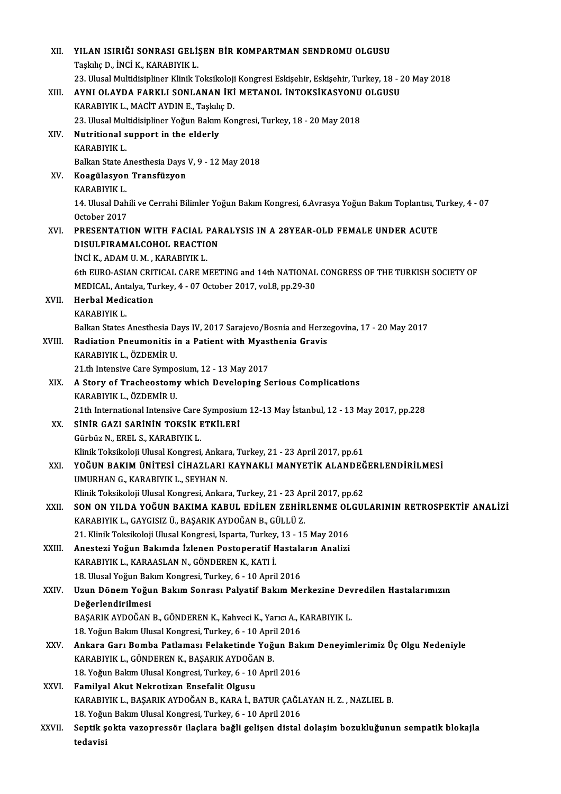| XII.   | YILAN ISIRIĞI SONRASI GELİŞEN BİR KOMPARTMAN SENDROMU OLGUSU                                                       |
|--------|--------------------------------------------------------------------------------------------------------------------|
|        | Taşkılıç D., İNCİ K., KARABIYIK L.                                                                                 |
|        | 23. Ulusal Multidisipliner Klinik Toksikoloji Kongresi Eskişehir, Eskişehir, Turkey, 18 - 20 May 2018              |
| XIII.  | AYNI OLAYDA FARKLI SONLANAN İKİ METANOL İNTOKSİKASYONU OLGUSU                                                      |
|        | KARABIYIK L., MACİT AYDIN E., Taşkılıç D.                                                                          |
|        | 23. Ulusal Multidisipliner Yoğun Bakım Kongresi, Turkey, 18 - 20 May 2018                                          |
| XIV.   | Nutritional support in the elderly                                                                                 |
|        | KARABIYIK L.                                                                                                       |
|        | Balkan State Anesthesia Days V, 9 - 12 May 2018                                                                    |
| XV.    | Koagülasyon Transfüzyon                                                                                            |
|        | KARABIYIK L.                                                                                                       |
|        | 14. Ulusal Dahili ve Cerrahi Bilimler Yoğun Bakım Kongresi, 6.Avrasya Yoğun Bakım Toplantısı, Turkey, 4 - 07       |
|        | October 2017                                                                                                       |
| XVI.   | PRESENTATION WITH FACIAL PARALYSIS IN A 28YEAR-OLD FEMALE UNDER ACUTE                                              |
|        | DISULFIRAMALCOHOL REACTION                                                                                         |
|        | İNCİ K., ADAM U. M., KARABIYIK L.                                                                                  |
|        | 6th EURO-ASIAN CRITICAL CARE MEETING and 14th NATIONAL CONGRESS OF THE TURKISH SOCIETY OF                          |
|        | MEDICAL, Antalya, Turkey, 4 - 07 October 2017, vol.8, pp.29-30<br><b>Herbal Medication</b>                         |
| XVII.  | KARABIYIK L.                                                                                                       |
|        | Balkan States Anesthesia Days IV, 2017 Sarajevo/Bosnia and Herzegovina, 17 - 20 May 2017                           |
| XVIII. | Radiation Pneumonitis in a Patient with Myasthenia Gravis                                                          |
|        | KARABIYIK L., ÖZDEMİR U.                                                                                           |
|        | 21 th Intensive Care Symposium, 12 - 13 May 2017                                                                   |
| XIX.   | A Story of Tracheostomy which Developing Serious Complications                                                     |
|        | KARABIYIK L., ÖZDEMİR U.                                                                                           |
|        | 21th International Intensive Care Symposium 12-13 May İstanbul, 12 - 13 May 2017, pp.228                           |
| XX.    | SİNİR GAZI SARİNİN TOKSİK ETKİLERİ                                                                                 |
|        | Gürbüz N. EREL S. KARABIYIK L.                                                                                     |
|        | Klinik Toksikoloji Ulusal Kongresi, Ankara, Turkey, 21 - 23 April 2017, pp.61                                      |
| XXI.   | YOĞUN BAKIM ÜNİTESİ CİHAZLARI KAYNAKLI MANYETİK ALANDEĞERLENDİRİLMESİ                                              |
|        | UMURHAN G., KARABIYIK L., SEYHAN N.                                                                                |
|        | Klinik Toksikoloji Ulusal Kongresi, Ankara, Turkey, 21 - 23 April 2017, pp.62                                      |
| XXII.  | SON ON YILDA YOĞUN BAKIMA KABUL EDİLEN ZEHİRLENME OLGULARININ RETROSPEKTİF ANALİZİ                                 |
|        | KARABIYIK L., GAYGISIZ Ü., BAŞARIK AYDOĞAN B., GÜLLÜ Z.                                                            |
|        | 21. Klinik Toksikoloji Ulusal Kongresi, Isparta, Turkey, 13 - 15 May 2016                                          |
| XXIII. | Anestezi Yoğun Bakımda İzlenen Postoperatif Hastaların Analizi<br>KARABIYIK L., KARAASLAN N., GÖNDEREN K., KATI İ. |
|        | 18. Ulusal Yoğun Bakım Kongresi, Turkey, 6 - 10 April 2016                                                         |
| XXIV.  | Uzun Dönem Yoğun Bakım Sonrası Palyatif Bakım Merkezine Devredilen Hastalarımızın                                  |
|        | Değerlendirilmesi                                                                                                  |
|        | BAŞARIK AYDOĞAN B., GÖNDEREN K., Kahveci K., Yarıcı A., KARABIYIK L.                                               |
|        | 18. Yoğun Bakım Ulusal Kongresi, Turkey, 6 - 10 April 2016                                                         |
| XXV    | Ankara Garı Bomba Patlaması Felaketinde Yoğun Bakım Deneyimlerimiz Üç Olgu Nedeniyle                               |
|        | KARABIYIK L., GÖNDEREN K., BAŞARIK AYDOĞAN B.                                                                      |
|        | 18. Yoğun Bakım Ulusal Kongresi, Turkey, 6 - 10 April 2016                                                         |
| XXVI.  | Familyal Akut Nekrotizan Ensefalit Olgusu                                                                          |
|        | KARABIYIK L., BAŞARIK AYDOĞAN B., KARA İ., BATUR ÇAĞLAYAN H. Z., NAZLIEL B.                                        |
|        | 18. Yoğun Bakım Ulusal Kongresi, Turkey, 6 - 10 April 2016                                                         |
| XXVII. | Septik şokta vazopressör ilaçlara bağli gelişen distal dolaşim bozukluğunun sempatik blokajla                      |
|        | tedavisi                                                                                                           |
|        |                                                                                                                    |